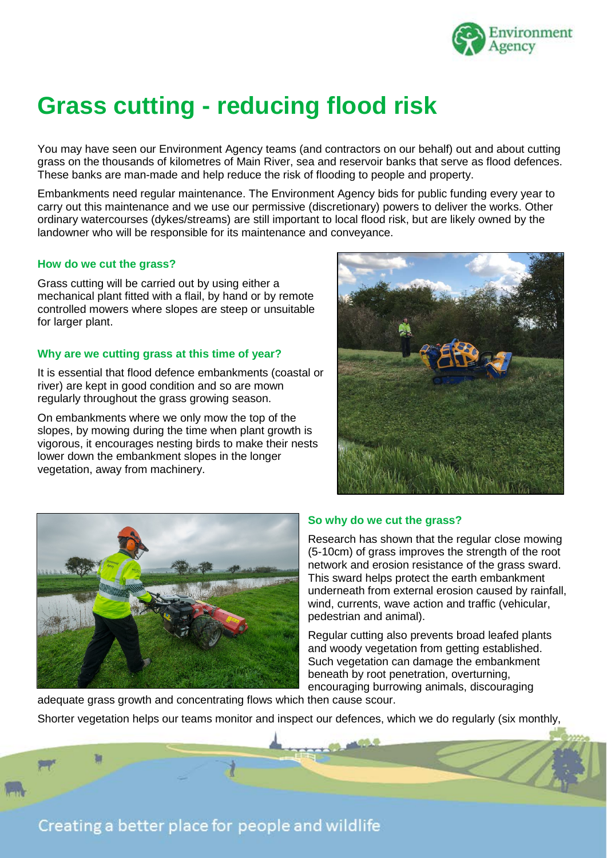

# **Grass cutting - reducing flood risk**

You may have seen our Environment Agency teams (and contractors on our behalf) out and about cutting grass on the thousands of kilometres of Main River, sea and reservoir banks that serve as flood defences. These banks are man-made and help reduce the risk of flooding to people and property.

Embankments need regular maintenance. The Environment Agency bids for public funding every year to carry out this maintenance and we use our permissive (discretionary) powers to deliver the works. Other ordinary watercourses (dykes/streams) are still important to local flood risk, but are likely owned by the landowner who will be responsible for its maintenance and conveyance.

#### **How do we cut the grass?**

Grass cutting will be carried out by using either a mechanical plant fitted with a flail, by hand or by remote controlled mowers where slopes are steep or unsuitable for larger plant.

#### **Why are we cutting grass at this time of year?**

It is essential that flood defence embankments (coastal or river) are kept in good condition and so are mown regularly throughout the grass growing season.

On embankments where we only mow the top of the slopes, by mowing during the time when plant growth is vigorous, it encourages nesting birds to make their nests lower down the embankment slopes in the longer vegetation, away from machinery.





### **So why do we cut the grass?**

Research has shown that the regular close mowing (5-10cm) of grass improves the strength of the root network and erosion resistance of the grass sward. This sward helps protect the earth embankment underneath from external erosion caused by rainfall, wind, currents, wave action and traffic (vehicular, pedestrian and animal).

Regular cutting also prevents broad leafed plants and woody vegetation from getting established. Such vegetation can damage the embankment beneath by root penetration, overturning, encouraging burrowing animals, discouraging

Shorter vegetation helps our teams monitor and inspect our defences, which we do regularly (six monthly,